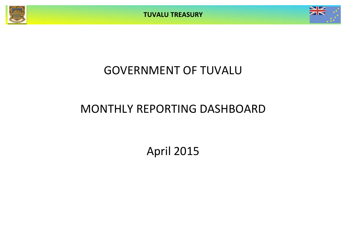**TUVALU TREASURY**



# GOVERNMENT OF TUVALU

# MONTHLY REPORTING DASHBOARD

April 2015

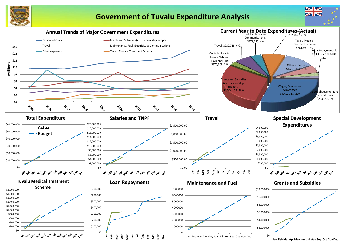

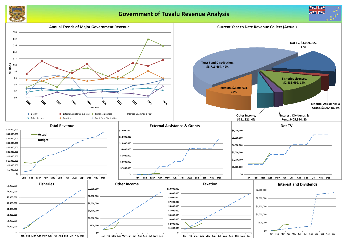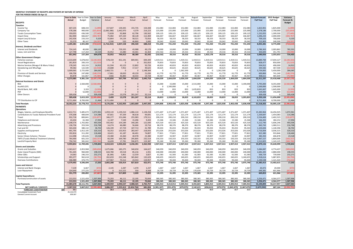### **MONTHLY STATEMENT OF RECEIPTS AND PAYENTS BY NATURE OF EXPENSE**

**FOR THE PERIOD ENDED 30-Apr-15 Year to Date** Year to Date Canuary February March April May June July August September August September October 1 **Actual** Budget Variance Actual Actual Actual Actual Forecast Forecast Forecast Forecast Forecast Forecast Forecast Forecast **Full Year Full Year Forecast & RECEIPTS Budget** *Taxation* Income Tax 607,235 608,333 (1,099) 157,607 139,445 155,735 154,448 152,083 152,083 152,083 152,083 152,083 152,083 152,083 152,083 1,823,901 1,825,000 (1,099) Company Tax 578,186 900,000 (321,814) (2,083,386) 2,442,970 4,379 214,223 225,000 225,000 225,000 225,000 225,000 225,000 225,000 225,000 2,378,186 2,700,000 (321,814) Tuvalu Consumption Taxes 359,055 436,500 (77,445)| 72,828 92,868 62,796 109,125 109,125 109,125 109,125 109,125 109,125 109,125 109,125 109,125 1,232,055 1,309,500 (77,445) Import Duty 362,900 666,667 (303,767) 75,082 107,220 68,128 112,469 166,667 166,667 166,667 166,667 166,667 166,667 166,667 166,667 1,696,233 2,000,000 (303,767) Import Levy & Excise 242,436 233,333 5,,103 58,521 73,916 58,333 58,333 58,333 58,333 58,333 58,333 58,333 58,333 58,333 58,333 58,333 58,333 709,103 709,000 9,103 Other Taxes 55,570 80,167 (24,597)| 5,590 46,860 2,600 20,042 20,042 20,042 20,042 20,042 20,042 20,042 215,903 240,500 (24,597) 2,205,381 2,925,000 (719,619)| (1,716,415) 2,837,158 396,420 688,218 731,250 731,250 731,250 731,250 731,250 731,250 731,250 8,055,381 8,775,000 (719,619) *Interest, Dividends and Rent* Interest and Dividends 724,145 40,000 684,145 0 729,335 43,988 49,178 10,000 10,000 10,000 10,000 10,000 10,000 10,000 10,000 2,786,363 2,003,862 782,501 Lease, rent and hire 127,798 117,264 10,534 35,952 15,080 44,401 32,364 (29,316) 29,316 29,316 29,316 29,316 29,316 29,316 29,316 303,693 351,791 (48,098) 851,942 157,264 694,678| 35,952 744,415 88,389 81,542 (19,316) 39,316 39,316 39,316 1,923,178 39,316 39,316 39,316 3,090,056 2,355,653 734,403 *Other Government Charges* Fisheries Licenses 2,533,699 5,678,042 (3,144,343) 578,159 451,191 809,901 694,449 1,419,511 1,419,511 1,419,511 1,419,511 1,419,511 1,419,511 1,419,511 1,419,511 13,889,784 17,034,127 (3,144,343) Vessel Registrations 261,810 283,333 (21,523) 0 0 0 261,810 70,833 70,833 70,833 70,833 70,833 70,833 70,833 70,833 828,477 850,000 (21,523) Marine Services (Nivaga II & Manu Folau) | 178,245 163,333 14,912 61,594 43,123 22,802 50,726 40,833 40,833 40,833 40 Stevedoring and Wharfage 199,582 122,500 (22,918) 24,688 7,952 17,317 49,625 30,625 30,625 30,625 30,625 30,625 30,625 30,625 344,582 367,500 (22,918) .TV 3,009,065 2,725,000 284,065 1,460,721 0 0 1,548,344 0 0 1,362,500 0 0 1,362,500 0 0 5,734,065 5,450,000 284,065 Provision of Goods and Services **106,706** 247,080 (140,374) 17,861 18,650 49,159 21,036 61,770 61,770 61,770 61,770 Other Charges 34,878 161,867 (76,989) (166) 46,883 18,433 19,728 40,467 40,467 40,467 40,467 40,467 40,467 40,467 40,467 40,467 40,467 40,467 40,467 40,467 40,467 40,467 40,467 40,467 40,467 40,467 40,467 40,467 40,467 40, 6,273,985 9,381,156 <mark>(3,107,170)</mark> 2,142,856 567,799 917,612 2,645,718 1,664,039 1,664,039 3,026,539 1,664,039 1,664,039 3,026,539 1,664,039 1,664,039 1,664,039 22,311,297 25,418,468 (3,107,170) *External Assistance and Grants* ROC 0 2,560,000 (2,560,000) 0 0 0 0 15,000 15,000 15,000 2,515,000 15,000 15,000 15,000 3,190,000 5,795,000 8,355,000 (2,560,000) AusAID (CIF) 0 0 0 0 0 0 0 0 1,500,000 0 0 0 0 0 0 1,500,000 1,500,000 0 World Bank, IMF, ADB 0 3,333 (3,333) 0 0 0 0 833 833 833 1,635,833 833 833 833 833 1,641,667 1,645,000 (3,333) PDF 0 52,000 (52,000) 0 0 0 0 13,000 13,000 13,000 13,000 13,000 13,000 13,000 13,000 104,000 156,000 (52,000) Other Donors 309,438 0 309,438 2,499 13,578 261,247 32,114 0 0 0 0 0 0 0 0 309,438 0 309,438 309,438 2,615,333 (2,305,896) 2,499 13,578 261,247 32,114 28,833 1,528,833 28,833 28,833 28,833 28,833 28,833 3,203,833 9,350,104 11,656,000 <mark>(2,3</mark>05,896) TTF Distribution to CIF 8,711,464 8,700,000 11,464 8,711,464 0 0 0 0 0 0 0 0 0 0 0 8,711,464 8,700,000 11,464 Total Receipts **18,352,210** 23,778,753 (5,426,543) 9,176,356 4,162,950 1,663,669 3,447,592 2,404,806 3,963,438 3,825,938 6,598 **PAYMENTS** *Operations* Wages, Salaries, and Employee Benefits 1,412,711 5,485,672 1,072,961 1,059,119 1,139,210 1,086,124 1,128,258 1,371,407 1,371,407 1,371,407 1,371,407 1,371,407 1,371,407 1,371,407 1,371,407 1,371,407 1,371,407 1,371,407 1,3 Contributions to Tuvalu National Provident Fund | 370,308 484,694 114,386 87,661 97,339 90,618 94,691 121,174 121,174 121,174 121,174 Travel 932,718 800,841 (131,877) 346,177 151,046 255,983 179,511 200,210 200,210 200,210 200,210 200,210 200,210 200,210 200,210 2,534,400 2,402,523 (131,877) Telephone and Internet 43,434 61,384 17,950 11,187 7,549 15,496 9,203 15,346 15,346 15,346 15,346 15,346 15,346 15,346 15,346 166,202 184,152 17,950 Maintenance 1,208,576 1,702,082 493,506| 592,462 154,189 340,285 121,640 425,520 425,520 425,520 425,520 425,520 425,520 425,520 425,520 5,112,740 5,606,246 493,506 Advertising and Provisions 136,736 353,504 216,768 14,274 46,080 56,666 19,716 88,376 88,376 88,376 88,376 88,376 88,376 88,376 88,376 843,743 1,060,511 216,768 Fuel and Oil 343,430 380,132 36,702 126,199 67,729 107,713 41,789 95,033 95,033 95,033 95,033 95,033 95,033 95,033 95,033 1,103,694 1,140,396 36,702 Supplies and Equipment 691,795 1,012,105 320,310| 56,352 133,953 283,447 218,043 253,026 253,026 253,026 253,026 253,026 253,026 253,026 2,716,004 3,036,315 320,310 Electricity 192,816 311,282 118,466 10,421 41,187 66,401 74,807 77,821 77,821 77,821 77,821 77,821 77,821 77,821 77,821 815,380 933,846 118,466 Senior Citizen Scheme / Pension 112,098 135,626 23,528 23,380 24,360 40,978 23,380 33,907 33,907 33,907 33,907 33,907 33,907 33,907 33,907 383,350 406,878 23,528 TMTS (Tuvalu Medical Treatment Scheme) 764,490 601,333 (163,157) 66,390 169,780 295,805 232,514 150,333 150,333 150,333 150,333 150 Land & Property Rent 750,742 381,042 (369,700) 16,699 17,781 596,875 119,387 95,260 95,260 95,260 95,260 95,260 95,260 95,260 1,512,825 1,143,125 (369,700) 9,959,854 11,709,696 1,749,842| 2,410,323 2,050,202 3,236,391 2,262,938 2,927,413 2,927,413 2,927,413 3,427,413 2,927,413 2,927,413 2,927,413| 33,879,156 35,628,999 1,749,842 *Grants and Subsidies* Grants and Subsidies 2,363,617 2,363,617 2,053,968 (309,650) 1,675,066 183,275 340,650 164,627 340,059 340,059 340,059 340,059 340,059 340,059 340,059 5,084,087 4,774,437 (309,650) Outer Island Projects (SDE) 761,445 960,000 198,555 644,780 29,518 85,216 1,931 240,000 240,000 240,000 240,000 240,000 240,000 240,000 240,000 2,681,445 2,880,000 198,555 Other SDEs 14,063 246,333 232,271 (8,184) 5,861 12,559 3,827 61,583 61,583 61,583 61,583 61,583 61,583 61,583 61,583 506,729 739,000 232,271 Scholarships and Support 993,377 962,618 (30,759) 262,659 232,248 365,842 132,629 240,655 240,655 240,655 240,655 240,655 240,655 3,240,655 5,918,614 5,887,855 (30,759) Overseas Contributions 446,989 373,775 (73,215) 227,967 75,512 23,553 119,957 93,444 93,444 93,444 93,444 93,444 93,444 93,444 93,444 1,194,538 1,121,324 (73,215) 4,579,492 4,596,694 17,202 2,802,288 526,414 827,819 422,971 975,740 975,740 975,740 975,740 975,740 975,740 3,975,740 15,385,413 15,402,615 17,202 *Loans and Interest* Interest and Bank Charges 7,139 6,667 (472) 2,145 2,287 1,470 1,667 1,667 1,667 1,667 1,667 1,667 1,667 1,667 1,667 20,472 20,000 (472) Loan Repayment 324,640 277,225 (47,415) 0 315,522 550 8,568 20,729 29,729 20,729 170,639 20,729 20,729 20,729 20,729 649,381 601,966 (47,415) 331,779 283,892 (47,887)| 2,145 317,809 2,020 9,805 22,395 31,395 22,395 172,305 22,395 22,395 22,395 22,395 669,853 621,966 (47,887) *Capital Expenditures* Purchase/construction of assets 213,553 1,521,459 1,307,906 75,203 46,111 22,195 70,044 380,365 380,365 380,365 380,365 380,365 380,365 380,365 380,365 380,365 380,365 380,365 380,365 380,365 3,256,471 4,564,377 1,307,906 213,553 1,521,459 1,307,906| 75,203 46,111 22,195 70,044 380,365 380,365 380,365 380,365 380,365 380,365 380,365 380,365 380,365 380,365| 3,256,471 4,564,377 1,307,906 **Total Payments 15,084,678 18,111,741 3,027,063 5,289,959 2,940,537 4,088,425 2,765,757 4,305,913 4,314,913 4,305,913 4,455,823 4,805,913 4,305,913 4,305,913 7,305,913 53,190,894 56,217,957 3,027,063** NET SURPLUS / (DEFICIT) 3,267,532 5,667,012 (2,399,480) 3,886,397 1,222,413 (2,424,756) 681,834 (1,901,107) (351,475) (479,975) 2,142,615 (458,613) (479,975) (1,842,475) (1,667,475) (1,672,592) 687,1 **FORECAST CASH POSITION \$M 26.1 26.6 27.8 25.4 26.1 24.2 23.8 23.3 25.5 25.0 24.5 22.7 21.0** Consolidated Investment Fund 25,216,070

General Current Account 639,587

|              |           | October   |             | December       |                        |                  |               |
|--------------|-----------|-----------|-------------|----------------|------------------------|------------------|---------------|
| ıst          | September |           | November    |                | <b>Actual+Forecast</b> | 2015 Budget      | Variance      |
| ast          | Forecast  | Forecast  | Forecast    | Forecast       | <b>Full Year</b>       | <b>Full Year</b> | Forecast &    |
|              |           |           |             |                |                        |                  | <b>Budget</b> |
|              |           |           |             |                |                        |                  |               |
| 2,083        | 152,083   | 152,083   | 152,083     | 152,083        | 1,823,901              | 1,825,000        | (1,099)       |
| 5,000        | 225,000   | 225,000   | 225,000     | 225,000        | 2,378,186              | 2,700,000        | (321, 814)    |
| 9,125        | 109,125   | 109,125   | 109,125     | 109,125        | 1,232,055              | 1,309,500        | (77, 445)     |
|              |           |           |             |                |                        |                  |               |
| 5,667        | 166,667   | 166,667   | 166,667     | 166,667        | 1,696,233              | 2,000,000        | (303, 767)    |
| 3,333        | 58,333    | 58,333    | 58,333      | 58,333         | 709,103                | 700,000          | 9,103         |
| 0,042        | 20,042    | 20,042    | 20,042      | 20,042         | 215,903                | 240,500          | (24, 597)     |
| l,250        | 731,250   | 731,250   | 731,250     | 731,250        | 8,055,381              | 8,775,000        | (719, 619)    |
|              |           |           |             |                |                        |                  |               |
| 0,000        | 1,893,862 | 10,000    | 10,000      | 10,000         | 2,786,363              | 2,003,862        | 782,501       |
|              | 29,316    |           | 29,316      | 29,316         | 303,693                | 351,791          | (48,098)      |
| 9,316        |           | 29,316    |             |                |                        |                  |               |
| 9,316        | 1,923,178 | 39,316    | 39,316      | 39,316         | 3,090,056              | 2,355,653        | 734,403       |
|              |           |           |             |                |                        |                  |               |
| 9,511        | 1,419,511 | 1,419,511 | 1,419,511   | 1,419,511      | 13,889,784             | 17,034,127       | (3, 144, 343) |
| ),833        | 70,833    | 70,833    | 70,833      | 70,833         | 828,477                | 850,000          | (21, 523)     |
| ),833        | 40,833    | 40,833    | 40,833      | 40,833         | 504,912                | 490,000          | 14,912        |
| ),625        | 30,625    | 30,625    | 30,625      | 30,625         | 344,582                | 367,500          | (22, 918)     |
| 0            | 0         | 1,362,500 | 0           | 0              | 5,734,065              | 5,450,000        | 284,065       |
|              |           |           |             |                |                        |                  |               |
| l,770        | 61,770    | 61,770    | 61,770      | 61,770         | 600,866                | 741,240          | (140, 374)    |
| ),467        | 40,467    | 40,467    | 40,467      | 40,467         | 408,611                | 485,600          | (76, 989)     |
| 1,039        | 1,664,039 | 3,026,539 | 1,664,039   | 1,664,039      | 22,311,297             | 25,418,468       | (3, 107, 170) |
|              |           |           |             |                |                        |                  |               |
| 5,000        | 15,000    | 15,000    | 15,000      | 3,190,000      | 5,795,000              | 8,355,000        | (2,560,000)   |
| 0            | 0         | 0         | 0           | 0              | 1,500,000              | 1,500,000        | $\mathbf 0$   |
| 5,833        | 833       | 833       | 833         | 833            | 1,641,667              | 1,645,000        | (3, 333)      |
|              |           |           |             |                |                        |                  |               |
| 3,000        | 13,000    | 13,000    | 13,000      | 13,000         | 104,000                | 156,000          | (52,000)      |
| 0            | 0         | $\pmb{0}$ | 0           | $\overline{0}$ | 309,438                | 0                | 309,438       |
| 3,833        | 28,833    | 28,833    | 28,833      | 3,203,833      | 9,350,104              | 11,656,000       | (2,305,896)   |
| 0            | 0         | 0         | 0           | 0              | 8,711,464              | 8,700,000        | 11,464        |
| 3,438        | 4,347,300 | 3,825,938 | 2,463,438   | 5,638,438      | 51,518,302             | 56,905,120       | (5,386,818)   |
|              |           |           |             |                |                        |                  |               |
|              |           |           |             |                |                        |                  |               |
|              |           |           |             |                |                        |                  |               |
| L,407        | 1,371,407 | 1,371,407 | 1,371,407   | 1,371,407      | 15,383,964             | 16,456,925       | 1,072,961     |
| 1,174        | 121,174   | 121,174   | 121,174     | 121,174        | 1,339,697              | 1,454,083        | 114,386       |
| ),210        | 200,210   | 200,210   | 200,210     | 200,210        | 2,534,400              | 2,402,523        | (131, 877)    |
| 5,346        | 15,346    | 15,346    | 15,346      | 15,346         | 166,202                | 184,152          | 17,950        |
|              |           |           |             |                |                        |                  |               |
| 5,520        | 925,520   | 425,520   | 425,520     | 425,520        | 5,112,740              | 5,606,246        | 493,506       |
| 3,376        | 88,376    | 88,376    | 88,376      | 88,376         | 843,743                | 1,060,511        | 216,768       |
| 5,033        | 95,033    | 95,033    | 95,033      | 95,033         | 1,103,694              | 1,140,396        | 36,702        |
| 3,026        | 253,026   | 253,026   | 253,026     | 253,026        | 2,716,004              | 3,036,315        | 320,310       |
| 7,821        | 77,821    | 77,821    | 77,821      | 77,821         | 815,380                | 933,846          | 118,466       |
| 3,907        | 33,907    | 33,907    | 33,907      | 33,907         | 383,350                | 406,878          | 23,528        |
| ),333        | 150,333   | 150,333   | 150,333     | 150,333        | 1,967,157              | 1,804,000        | (163, 157)    |
| 5,260        | 95,260    | 95,260    | 95,260      | 95,260         | 1,512,825              | 1,143,125        | (369, 700)    |
|              |           |           |             |                |                        |                  |               |
| 7,413        | 3,427,413 | 2,927,413 | 2,927,413   | 2,927,413      | 33,879,156             | 35,628,999       | 1,749,842     |
|              |           |           |             |                |                        |                  |               |
| 0,059        | 340,059   | 340,059   | 340,059     | 340,059        | 5,084,087              | 4,774,437        | (309, 650)    |
| 0,000        | 240,000   | 240,000   | 240,000     | 240,000        | 2,681,445              | 2,880,000        | 198,555       |
| 1,583        | 61,583    | 61,583    | 61,583      | 61,583         | 506,729                | 739,000          | 232,271       |
| 0,655        | 240,655   | 240,655   | 240,655     | 3,240,655      | 5,918,614              | 5,887,855        | (30, 759)     |
| 3,444        | 93,444    | 93,444    | 93,444      | 93,444         | 1,194,538              |                  | (73, 215)     |
|              |           |           |             |                |                        | 1,121,324        |               |
| 5,740        | 975,740   | 975,740   | 975,740     | 3,975,740      | 15,385,413             | 15,402,615       | 17,202        |
|              |           |           |             |                |                        |                  |               |
| 1,667        | 1,667     | 1,667     | 1,667       | 1,667          | 20,472                 | 20,000           | (472)         |
| ),639        | 20,729    | 20,729    | 20,729      | 20,729         | 649,381                | 601,966          | (47, 415)     |
| 2,305        | 22,395    | 22,395    | 22,395      | 22,395         | 669,853                | 621,966          | (47, 887)     |
|              |           |           |             |                |                        |                  |               |
| <u>),365</u> | 380,365   | 380,365   | 380,365     | 380,365        | 3,256,471              | 4,564,377        | 1,307,906     |
| ),365        | 380,365   | 380,365   | 380,365     | 380,365        | 3,256,471              | 4,564,377        | 1,307,906     |
|              |           |           |             |                |                        |                  |               |
| 5,823        | 4,805,913 | 4,305,913 | 4,305,913   | 7,305,913      | 53,190,894             | 56,217,957       | 3,027,063     |
| 2,615        | (458,613) | (479,975) | (1,842,475) | (1,667,475)    | (1,672,592)            | 687,164          | (2,359,755)   |
| 25.5         | 25.0      | 24.5      | 22.7        | 21.0           |                        |                  |               |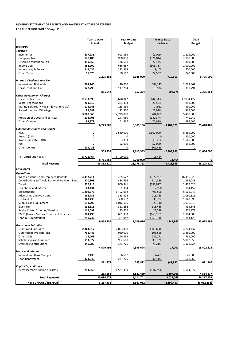|                         | 213,553    | 1,521,459  | 1,307,906   | 4,564,377   |
|-------------------------|------------|------------|-------------|-------------|
| <b>Total Payments</b>   | 15,084,678 | 18,111,741 | 3,027,063   | 56,217,957  |
| NET SURPLUS / (DEFECIT) | 3,267,532  | 5,667,012  | (2,399,480) | (8,012,836) |

|                                                        |                    | <b>Year to Date</b> |                      | <b>Year to Date</b> |                      | <b>Year to Date</b> |                        | 2015       |  |
|--------------------------------------------------------|--------------------|---------------------|----------------------|---------------------|----------------------|---------------------|------------------------|------------|--|
|                                                        | <b>Actual</b>      |                     | <b>Budget</b>        |                     | Variance             |                     | <b>Budget</b>          |            |  |
| <b>RECEIPTS</b>                                        |                    |                     |                      |                     |                      |                     |                        |            |  |
| <b>Taxation</b>                                        |                    |                     |                      |                     |                      |                     |                        |            |  |
| Income Tax                                             | 607,235            |                     | 608,333              |                     | (1,099)              |                     | 1,825,000              |            |  |
| Company Tax                                            | 578,186            |                     | 900,000              |                     | (321, 814)           |                     | 2,700,000              |            |  |
| <b>Tuvalu Consumption Tax</b><br>Import Duty           | 359,055<br>362,900 |                     | 436,500<br>666,667   |                     | (77, 445)            |                     | 1,309,500<br>2,000,000 |            |  |
|                                                        |                    |                     |                      |                     | (303, 767)           |                     | 700,000                |            |  |
| Import Levy & Excise<br><b>Other Taxes</b>             | 242,436            |                     | 233,333              |                     | 9,103                |                     | 240,500                |            |  |
|                                                        | 55,570             | 2,205,381           | 80,167               | 2,925,000           | (24, 597)            | (719, 619)          |                        | 8,775,000  |  |
| <b>Interest, Dividends and Rent</b>                    |                    |                     |                      |                     |                      |                     |                        |            |  |
| <b>Interest and Dividends</b>                          | 724,145            |                     | 40,000               |                     | 684,145              |                     | 2,003,862              |            |  |
| Lease, rent and hire                                   | 127,798            |                     | 117,264              |                     | 10,534               |                     | 351,791                |            |  |
|                                                        |                    | 851,942             |                      | 157,264             |                      | 694,678             |                        | 2,355,653  |  |
| <b>Other Government Charges</b>                        |                    |                     |                      |                     |                      |                     |                        |            |  |
| <b>Fisheries Licenses</b>                              | 2,533,699          |                     | 5,678,042            |                     | (3, 144, 343)        |                     | 17,034,127             |            |  |
| <b>Vessel Registrations</b>                            | 261,810            |                     | 283,333              |                     | (21, 523)            |                     | 850,000                |            |  |
| Marine Services (Nivaga II & Manu Folau)               | 178,245            |                     | 163,333              |                     | 14,912               |                     | 490,000                |            |  |
| Stevedoring and Wharfage                               | 99,582             |                     | 122,500              |                     | (22, 918)            |                     | 367,500                |            |  |
| TV                                                     | 3,009,065          |                     | 2,725,000            |                     | 284,065              |                     | 5,450,000              |            |  |
| Provision of Goods and Services                        | 106,706            |                     | 247,080              |                     | (140, 374)           |                     | 741,240                |            |  |
| <b>Other Charges</b>                                   | 84,878             |                     | 161,867              |                     | (76, 989)            |                     | 485,600                |            |  |
|                                                        |                    | 6,273,985           |                      | 9,381,156           |                      | (3, 107, 170)       |                        | 25,418,468 |  |
| <b>External Assistance and Grants</b>                  |                    |                     |                      |                     |                      |                     |                        |            |  |
| <b>ROC</b>                                             | 0                  |                     | 2,560,000            |                     | (2,560,000)          |                     | 8,355,000              |            |  |
| AusAID (CIF)                                           |                    |                     | 0                    |                     | 0                    |                     | 1,500,000              |            |  |
| World Bank, IMF, ADB                                   |                    |                     | 3,333                |                     | (3, 333)             |                     | 1,645,000              |            |  |
| <b>PDF</b>                                             | ŋ                  |                     | 52,000               |                     | (52,000)             |                     | 156,000                |            |  |
| <b>Other Donors</b>                                    | 309,438            |                     | 0                    |                     | 309,438              |                     | 0                      |            |  |
|                                                        |                    | 309,438             |                      | 2,615,333           |                      | (2,305,896)         |                        | 11,656,000 |  |
|                                                        |                    |                     |                      |                     |                      |                     |                        |            |  |
| TTF Distribution to CIF                                |                    |                     |                      |                     |                      |                     |                        |            |  |
|                                                        | 8,711,464          | 8,711,464           | 8,700,000            | 8,700,000           | 11,464               | 11,464              |                        |            |  |
| <b>Total Receipts</b>                                  |                    | 18,352,210          |                      | 23,778,753          |                      | (5,426,543)         |                        | 48,205,120 |  |
| <b>PAYMENTS</b>                                        |                    |                     |                      |                     |                      |                     |                        |            |  |
| <b>Operations</b>                                      |                    |                     |                      |                     |                      |                     |                        |            |  |
| Wages, Salaries, and Employee Benefits                 |                    |                     |                      |                     |                      |                     |                        |            |  |
| <b>Contributions to Tuvalu National Provident Fund</b> | 4,412,711          |                     | 5,485,672<br>484,694 |                     | 1,072,961            |                     | 16,456,925             |            |  |
| Travel                                                 | 370,308<br>932,718 |                     | 800,841              |                     | 114,386              |                     | 1,454,083              |            |  |
| Telephone and Internet                                 | 43,434             |                     | 61,384               |                     | (131, 877)<br>17,950 |                     | 2,402,523<br>184,152   |            |  |
| Maintenance                                            | 1,208,576          |                     | 1,702,082            |                     | 493,506              |                     | 5,606,246              |            |  |
| <b>Advertising and Provisions</b>                      | 136,736            |                     | 353,504              |                     | 216,768              |                     | 1,060,511              |            |  |
| Fuel and Oil                                           | 343,430            |                     | 380,132              |                     | 36,702               |                     | 1,140,396              |            |  |
| Supplies and Equipment                                 | 691,795            |                     | 1,012,105            |                     | 320,310              |                     | 3,036,315              |            |  |
| Electricity                                            | 192,816            |                     | 311,282              |                     | 118,466              |                     | 933,846                |            |  |
| Senior Citizen Scheme / Pension                        | 112,098            |                     | 135,626              |                     | 23,528               |                     | 406,878                |            |  |
| <b>TMTS (Tuvalu Medical Treatment Scheme)</b>          | 764,490            |                     | 601,333              |                     | (163, 157)           |                     | 1,804,000              |            |  |
| Land & Property Rent                                   | 750,742            |                     | 381,042              |                     | (369,700)            |                     | 1,143,125              |            |  |
|                                                        |                    | 9,959,854           |                      | 11,709,696          |                      | 1,749,842           |                        | 35,628,999 |  |
| <b>Grants and Subsidies</b>                            |                    |                     |                      |                     |                      |                     |                        |            |  |
| <b>Grants and Subsidies</b>                            | 2,363,617          |                     | 2,053,968            |                     | (309, 650)           |                     | 4,774,437              |            |  |
| Outer Island Projects (SDE)                            | 761,445            |                     | 960,000              |                     | 198,555              |                     | 2,880,000              |            |  |
| Other SDEs                                             | 14,063             |                     | 246,333              |                     | 232,271              |                     | 739,000                |            |  |
| Scholarships and Support                               | 993,377            |                     | 962,618              |                     | (30, 759)            |                     | 5,887,855              |            |  |
| <b>Overseas Contributions</b>                          | 446,989            |                     | 373,775              |                     | (73, 215)            |                     | 1,121,324              |            |  |
|                                                        |                    | 4,579,492           |                      | 4,596,694           |                      | 17,202              |                        | 15,402,615 |  |
| <b>Loans and Interest</b>                              |                    |                     |                      |                     |                      |                     |                        |            |  |
| Interest and Bank Charges                              | 7,139              |                     | 6,667                |                     | (472)                |                     | 20,000                 |            |  |
| Loan Repayment                                         | 324,640            |                     | 277,225              |                     | (47, 415)            |                     | 601,966                |            |  |
| <b>Capital Expenditures</b>                            |                    | 331,779             |                      | 283,892             |                      | (47, 887)           |                        | 621,966    |  |

## **MONTHLY STATEMENT OF RECEIPTS AND PAYENTS BY NATURE OF EXPENSE FOR THE PERIOD ENDED 30-Apr-15**